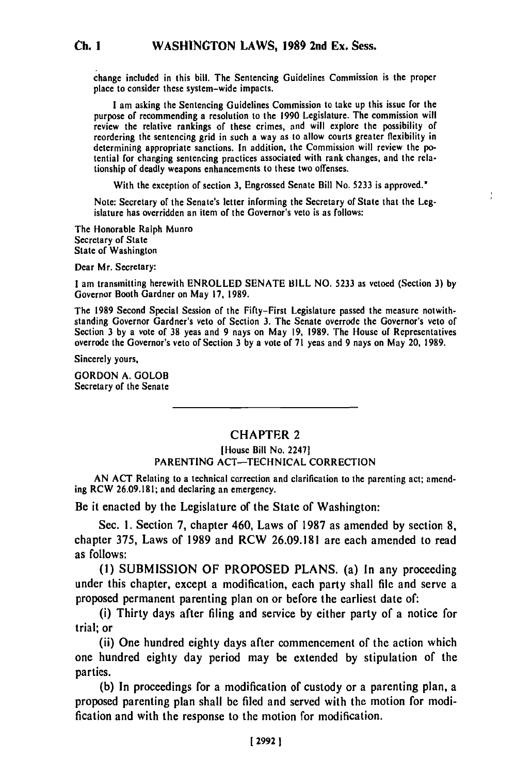change included in this bill. The Sentencing Guidelines Commission is the proper place to consider these system-wide impacts.

**I** am asking the Sentencing Guidelines Commission to take up this issue for the purpose of recommending a resolution to the **1990** Legislature. The commission will review the relative rankings of these crimes, and will explore the possibility of reordering the sentencing grid in such a way as to allow courts greater flexibility in determining appropriate sanctions. In addition, the Commission will review the potential for changing sentencing practices associated with rank changes, and the relationship of deadly weapons enhancements to these two offenses.

With the exception of section **3,** Engrossed Senate Bill No. **5233** is approved.'

Note: Secretary of the Senate's letter informing the Secretary of State that the Legislature has overridden an item of the Governor's veto is as follows:

The Honorable Ralph Munro Secretary of State State of Washington

Dear Mr. Secretary:

**Ch. I**

I am transmitting herewith ENROLLED **SENATE** BILL **NO.** 5233 as vetoed (Section **3) by** Governor Booth Gardner on May **17, 1989.**

The **1989** Second Special Session of the Fifty-First Legislature passed the measure notwithstanding Governor Gardner's veto of Section **3.** The Senate overrode the Governor's veto of Section 3 **by** a vote of **38** yeas and **9** nays on May **19, 1989.** The House of Representatives Section 3 by a vote of 38 yeas and 9 nays on May 19, 1989. The House of Representatives overrode the Governor's veto of Section 3 by a vote of 71 yeas and 9 nays on May 20, 1989.

Sincerely yours,

GORDON **A.** GOLOB Secretary of the Senate

## **CHAPTER 2**

## [House Bill No. 2247] **PARENTING ACT-TECHNICAL** CORRECTION

**AN ACT** Relating to a technical correction and clarification to the parenting act; amending RCW **26.09.181;** and declaring an emergency.

Be it enacted **by** the Legislature **of** the State of Washington:

Sec. **1.** Section **7,** chapter 460, Laws of **1987** as amended **by** section **8,** chapter **375,** Laws of **1989** and RCW **26.09.181** are each amended to read as follows:

**(1) SUBMISSION** OF **PROPOSED PLANS.** (a) In any proceeding under this chapter, except a modification, each party shall **file** and serve a proposed permanent parenting plan on or before the earliest date of:

(i) Thirty days after filing and service **by** either party of a notice for trial; or

(ii) One hundred eighty days after commencement of the action which one hundred eighty day period may be extended **by** stipulation of the parties.

**(b)** In proceedings for a modification of custody or a parenting plan, a proposed parenting plan shall be **filed** and served with the motion for modification and with the response to the motion for modification.